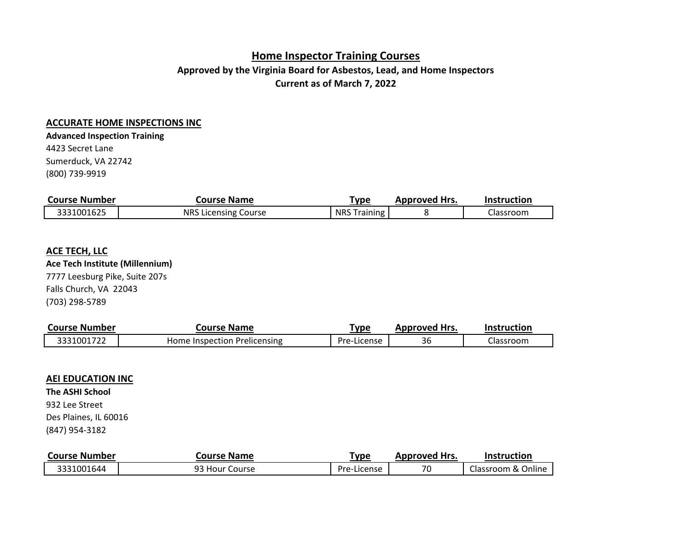# **Home Inspector Training Courses**

# **Approved by the Virginia Board for Asbestos, Lead, and Home Inspectors Current as of March 7, 2022**

### **ACCURATE HOME INSPECTIONS INC**

4423 Secret Lane **Advanced Inspection Training**

Sumerduck, VA 22742 (800) 739-9919

| <b>Course Number</b> | <b>Course Name</b>          | <u>'ype</u>         | Approved Hrs. | <b>Instruction</b> |
|----------------------|-----------------------------|---------------------|---------------|--------------------|
| 3331001625           | <b>NRS Licensing Course</b> | <b>NRS Training</b> |               | Llassroom          |

#### **ACE TECH, LLC**

**Ace Tech Institute (Millennium)**

7777 Leesburg Pike, Suite 207s Falls Church, VA 22043 (703) 298-5789

| <b>Course Number</b> | <b>Course Name</b>           | 'ype        | Approved Hrs. | <b>Instruction</b> |
|----------------------|------------------------------|-------------|---------------|--------------------|
| 3331001722           | Home Inspection Prelicensing | Pre-License | 36            | Llassroom          |

#### **AEI EDUCATION INC**

**The ASHI School**

932 Lee Street Des Plaines, IL 60016

(847) 954-3182

| <b>Course Number</b> | <b>Course Name</b> | Type        | <b>Approved Hrs.</b> | <b>Instruction</b> |
|----------------------|--------------------|-------------|----------------------|--------------------|
| 3331001644           | 93 Hour Course     | Pre-License | 70                   | Classroom & Online |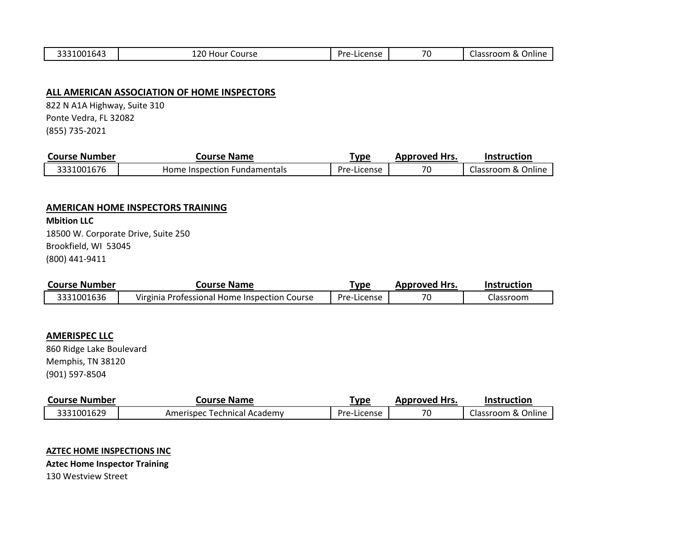| $- - -$<br>ົ<br>. റല<br>. | $\sim$ $\sim$ $\sim$<br>Course<br>. 10 U L<br>--- | ) r c<br><b>CANCA</b><br>. | 70 | ---<br>$\sim$<br>чше.<br>.JSLOU!"<br>ud |
|---------------------------|---------------------------------------------------|----------------------------|----|-----------------------------------------|

### **ALL AMERICAN ASSOCIATION OF HOME INSPECTORS**

Ponte Vedra, FL 32082 (855) 735-2021 822 N A1A Highway, Suite 310

| <b>Course Number</b> | Course Name                  | Type        | <b>Approved Hrs.</b> | Instruction        |
|----------------------|------------------------------|-------------|----------------------|--------------------|
| 3331001676           | Home Inspection Fundamentals | Pre-License | 70                   | Classroom & Online |

#### **AMERICAN HOME INSPECTORS TRAINING**

Brookfield, WI 53045 (800) 441-9411 **Mbition LLC** 18500 W. Corporate Drive, Suite 250

| <b>Course Number</b> | Course Name                                  | 'vpe        | <b>Approved Hrs.</b> | <b>Instruction</b> |
|----------------------|----------------------------------------------|-------------|----------------------|--------------------|
| 3331001636           | Virginia Professional Home Inspection Course | Pre-License | 70                   | Llassroom.         |

### **AMERISPEC LLC**

(901) 597-8504 860 Ridge Lake Boulevard Memphis, TN 38120

| Course Number | Course Name                 | Type        | Approved Hrs. | <b>Instruction</b> |
|---------------|-----------------------------|-------------|---------------|--------------------|
| 3331001629    | Amerispec Technical Academy | Pre-License | 70            | Classroom & Online |

#### **AZTEC HOME INSPECTIONS INC**

**Aztec Home Inspector Training**

130 Westview Street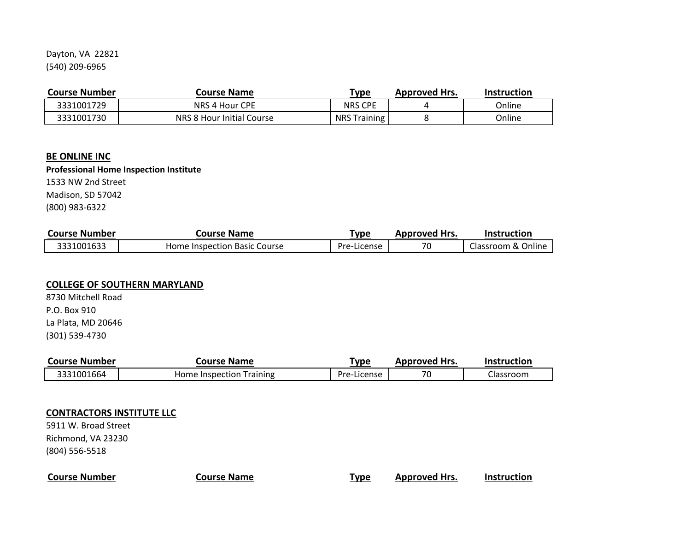Dayton, VA 22821 (540) 209-6965

| <b>Course Number</b> | Course Name               | <u>Type</u>         | <b>Approved Hrs.</b> | Instruction |
|----------------------|---------------------------|---------------------|----------------------|-------------|
| 3331001729           | NRS 4 Hour CPE            | <b>NRS CPE</b>      |                      | Online      |
| 3331001730           | NRS 8 Hour Initial Course | <b>NRS Training</b> |                      | Online      |

#### **BE ONLINE INC**

### **Professional Home Inspection Institute**

1533 NW 2nd Street Madison, SD 57042

(800) 983-6322

| <b>Course Number</b> | <b>Course Name</b>           | ™vpe        | Approved Hrs. | Instruction        |
|----------------------|------------------------------|-------------|---------------|--------------------|
| 3331001633           | Home Inspection Basic Course | Pre-License | 70            | Classroom & Online |

#### **COLLEGE OF SOUTHERN MARYLAND**

(301) 539-4730 8730 Mitchell Road P.O. Box 910 La Plata, MD 20646

| <b>Course Number</b> | Course Name              | 'ype        | <b>Approved Hrs.</b> | <b>Instruction</b> |
|----------------------|--------------------------|-------------|----------------------|--------------------|
| 3331001664           | Home Inspection Training | Pre-License | 70                   | Classroom          |

### **CONTRACTORS INSTITUTE LLC**

5911 W. Broad Street Richmond, VA 23230 (804) 556-5518

## **Course Number Course Name Type Approved Hrs. Instruction**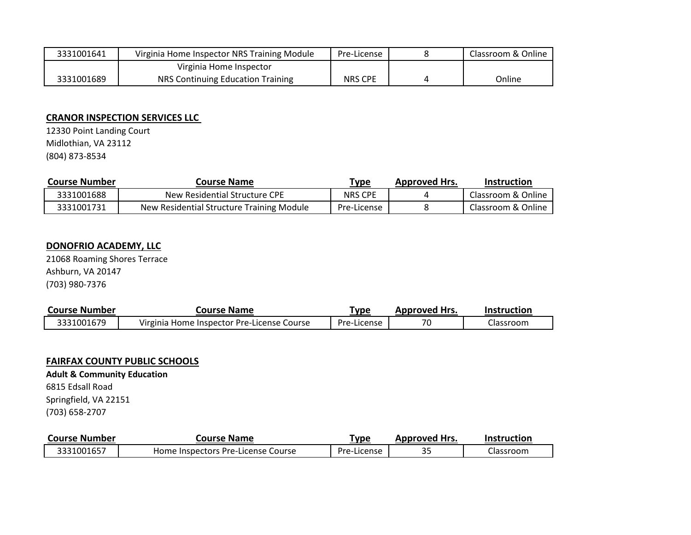| 3331001641 | Virginia Home Inspector NRS Training Module | Pre-License    | Classroom & Online |
|------------|---------------------------------------------|----------------|--------------------|
|            | Virginia Home Inspector                     |                |                    |
| 3331001689 | NRS Continuing Education Training           | <b>NRS CPE</b> | Online             |

## **CRANOR INSPECTION SERVICES LLC**

12330 Point Landing Court Midlothian, VA 23112 (804) 873-8534

| <b>Course Number</b> | <b>Course Name</b>                        | <u>"ype</u>    | <b>Approved Hrs.</b> | <b>Instruction</b> |
|----------------------|-------------------------------------------|----------------|----------------------|--------------------|
| 3331001688           | New Residential Structure CPE             | <b>NRS CPE</b> |                      | Classroom & Online |
| 3331001731           | New Residential Structure Training Module | Pre-License    |                      | Classroom & Online |

## **DONOFRIO ACADEMY, LLC**

21068 Roaming Shores Terrace Ashburn, VA 20147 (703) 980-7376

| <b>Course Number</b> | <b>Course Name</b>                         | <u> Type</u> | Approved Hrs. | Instruction |
|----------------------|--------------------------------------------|--------------|---------------|-------------|
| 3331001679           | Virginia Home Inspector Pre-License Course | Pre-License  | 70            | Classroom   |

### **FAIRFAX COUNTY PUBLIC SCHOOLS**

6815 Edsall Road Springfield, VA 22151 (703) 658-2707 **Adult & Community Education**

| <b>Course Number</b> | <b>Course Name</b>                 | туре        | Approved Hrs. | Instruction |
|----------------------|------------------------------------|-------------|---------------|-------------|
| 3331001657           | Home Inspectors Pre-License Course | Pre-License |               | Llassroom   |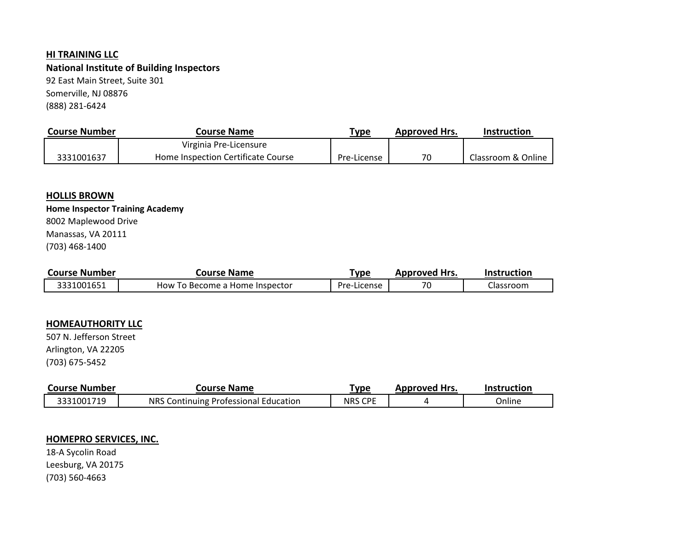#### **HI TRAINING LLC**

**National Institute of Building Inspectors** Somerville, NJ 08876 (888) 281-6424 92 East Main Street, Suite 301

| <b>Course Number</b> | Course Name                        | Type        | <b>Approved Hrs.</b> | <b>Instruction</b> |
|----------------------|------------------------------------|-------------|----------------------|--------------------|
|                      | Virginia Pre-Licensure             |             |                      |                    |
| 3331001637           | Home Inspection Certificate Course | Pre-License | 70                   | Classroom & Online |

#### **HOLLIS BROWN**

## **Home Inspector Training Academy**

Manassas, VA 20111 8002 Maplewood Drive

(703) 468-1400

| Course Number | Course Name                    | 'ype        | Approved Hrs. | Instruction |
|---------------|--------------------------------|-------------|---------------|-------------|
| 3331001651    | How To Become a Home Inspector | Pre-License | 70            | Llassroom   |

## **HOMEAUTHORITY LLC**

(703) 675-5452 507 N. Jefferson Street Arlington, VA 22205

| Course Number | Course Name                           | ™уре              | <b>Approved Hrs.</b> | Instruction |
|---------------|---------------------------------------|-------------------|----------------------|-------------|
| 3331001719    | NRS Continuing Professional Education | CDE<br><b>NRS</b> |                      | Online      |

### **HOMEPRO SERVICES, INC.**

18-A Sycolin Road Leesburg, VA 20175 (703) 560-4663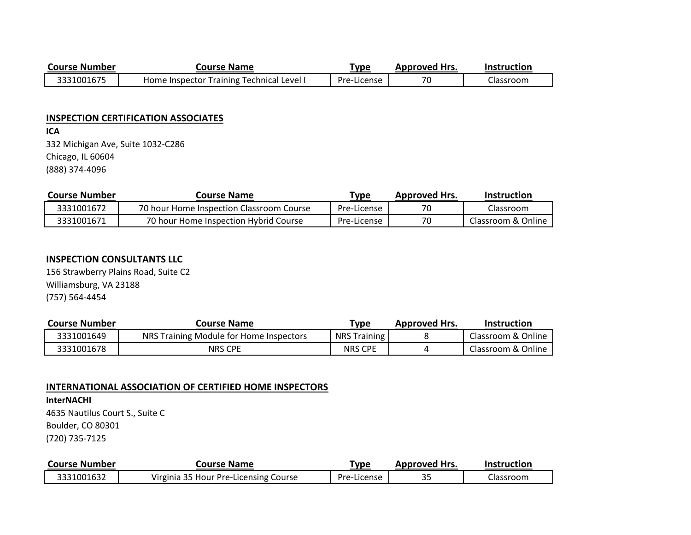| <b>Course Number</b> | <b>Course Name</b>                        | Гуре        | <b>Approved Hrs.</b> | <b>Instruction</b> |
|----------------------|-------------------------------------------|-------------|----------------------|--------------------|
| 3331001675           | Home Inspector Training Technical Level I | Pre-License | 70                   | Classroom          |

#### **INSPECTION CERTIFICATION ASSOCIATES**

**ICA** 332 Michigan Ave, Suite 1032-C286 Chicago, IL 60604 (888) 374-4096

| <b>Course Number</b> | Course Name                              | <u>Type</u> | <b>Approved Hrs.</b> | <b>Instruction</b> |
|----------------------|------------------------------------------|-------------|----------------------|--------------------|
| 3331001672           | 70 hour Home Inspection Classroom Course | Pre-License | 70                   | Classroom          |
| 3331001671           | 70 hour Home Inspection Hybrid Course    | Pre-License | 70                   | Classroom & Online |

## **INSPECTION CONSULTANTS LLC**

156 Strawberry Plains Road, Suite C2 Williamsburg, VA 23188 (757) 564-4454

| <b>Course Number</b> | Course Name                             | <u>"ype</u>         | <b>Approved Hrs.</b> | Instruction        |
|----------------------|-----------------------------------------|---------------------|----------------------|--------------------|
| 3331001649           | NRS Training Module for Home Inspectors | <b>NRS Training</b> |                      | Classroom & Online |
| 3331001678           | <b>NRS CPE</b>                          | <b>NRS CPE</b>      |                      | Classroom & Online |

#### **INTERNATIONAL ASSOCIATION OF CERTIFIED HOME INSPECTORS**

**InterNACHI** 4635 Nautilus Court S., Suite C Boulder, CO 80301 (720) 735-7125

| <b>Course Number</b> | Course Name                           | <u>'ype</u>      | <b>Approved Hrs.</b> | <b>Instruction</b> |
|----------------------|---------------------------------------|------------------|----------------------|--------------------|
| 3331001632           | Virginia 35 Hour Pre-Licensing Course | Pre-L<br>License | <u>ິດ ຕ</u><br>35    | Llassroom          |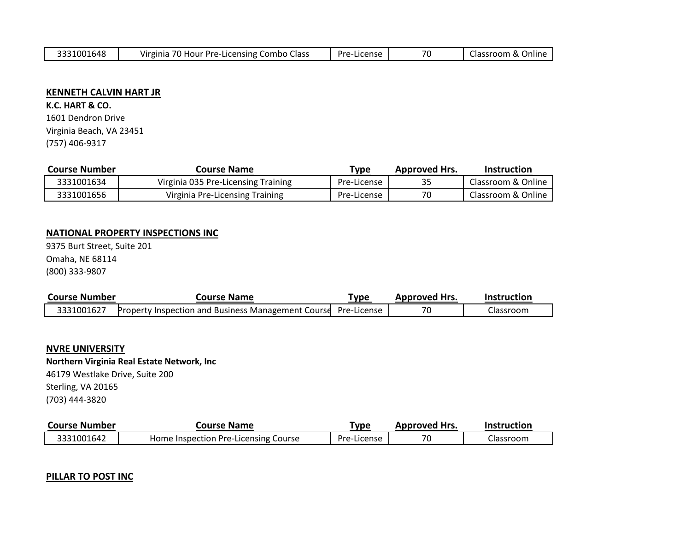### **KENNETH CALVIN HART JR**

**K.C. HART & CO.** 1601 Dendron Drive Virginia Beach, VA 23451 (757) 406-9317

| <b>Course Number</b> | Course Name                         | т <sub>уре</sub> | <b>Approved Hrs.</b> | Instruction        |
|----------------------|-------------------------------------|------------------|----------------------|--------------------|
| 3331001634           | Virginia 035 Pre-Licensing Training | Pre-License      | 35                   | Classroom & Online |
| 3331001656           | Virginia Pre-Licensing Training     | Pre-License      | 70                   | Classroom & Online |

### **NATIONAL PROPERTY INSPECTIONS INC**

9375 Burt Street, Suite 201 Omaha, NE 68114 (800) 333-9807

| <b>Course Number</b> | <b>Course Name</b>                                                    | "vpe | <b>Approved Hrs.</b> | <b>Instruction</b> |
|----------------------|-----------------------------------------------------------------------|------|----------------------|--------------------|
| 3331001627           | <b>Property Inspection and Business Management Course</b> Pre-License |      | 70                   | Classroom          |

#### **NVRE UNIVERSITY**

**Northern Virginia Real Estate Network, Inc**

46179 Westlake Drive, Suite 200 Sterling, VA 20165 (703) 444-3820

| <b>Course Number</b> | Course Name                          | <u>туре</u> | <b>Approved Hrs.</b> | <b>Instruction</b> |
|----------------------|--------------------------------------|-------------|----------------------|--------------------|
| 3331001642           | Home Inspection Pre-Licensing Course | Pre-License | 70                   | lassroom۔          |

### **PILLAR TO POST INC**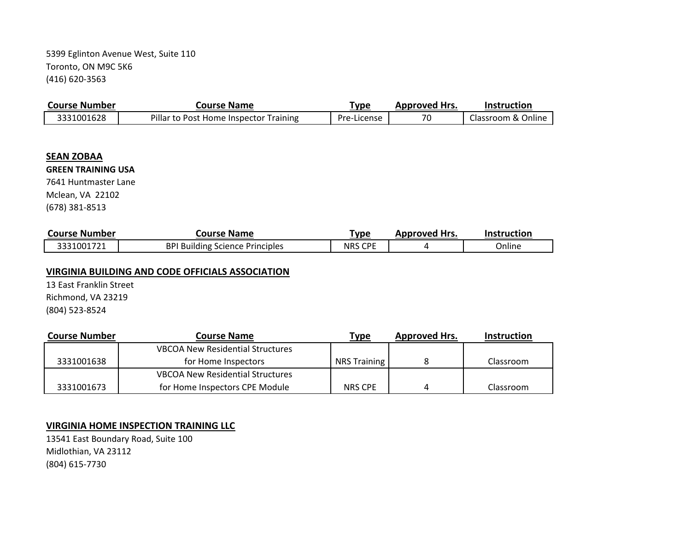Toronto, ON M9C 5K6 (416) 620-3563 5399 Eglinton Avenue West, Suite 110

| <b>Course Number</b> | <b>Course Name</b>                     | <u> Type</u> | <b>Approved Hrs.</b> | <b>Instruction</b> |
|----------------------|----------------------------------------|--------------|----------------------|--------------------|
| 3331001628           | Pillar to Post Home Inspector Training | Pre-License  | 70                   | Classroom & Online |

#### **SEAN ZOBAA**

#### **GREEN TRAINING USA**

7641 Huntmaster Lane Mclean, VA 22102 (678) 381-8513

| <b>Course Number</b> | <b>Course Name</b>                     | туре                     | <b>Approved Hrs.</b> | <b>Instruction</b> |
|----------------------|----------------------------------------|--------------------------|----------------------|--------------------|
| 3331001721           | <b>BPI Building Science Principles</b> | CDE<br><b>NRS</b><br>◡ └ |                      | Online             |

#### **VIRGINIA BUILDING AND CODE OFFICIALS ASSOCIATION**

(804) 523-8524 13 East Franklin Street Richmond, VA 23219

| <b>Course Number</b> | Course Name                             | Type                | <b>Approved Hrs.</b> | <b>Instruction</b> |
|----------------------|-----------------------------------------|---------------------|----------------------|--------------------|
|                      | <b>VBCOA New Residential Structures</b> |                     |                      |                    |
| 3331001638           | for Home Inspectors                     | <b>NRS Training</b> |                      | Classroom          |
|                      | <b>VBCOA New Residential Structures</b> |                     |                      |                    |
| 3331001673           | for Home Inspectors CPE Module          | <b>NRS CPE</b>      | Δ                    | Classroom          |

## **VIRGINIA HOME INSPECTION TRAINING LLC**

13541 East Boundary Road, Suite 100 Midlothian, VA 23112 (804) 615-7730